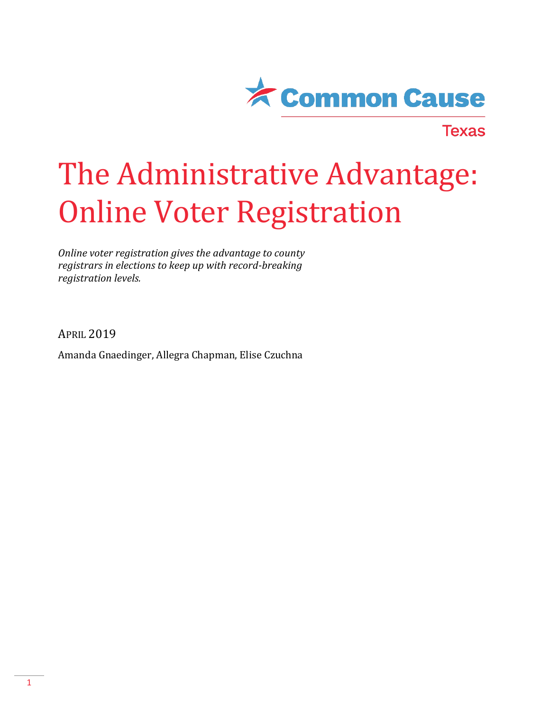

**Texas** 

## The Administrative Advantage: Online Voter Registration

*Online voter registration gives the advantage to county registrars in elections to keep up with record-breaking registration levels.* 

APRIL 2019

Amanda Gnaedinger, Allegra Chapman, Elise Czuchna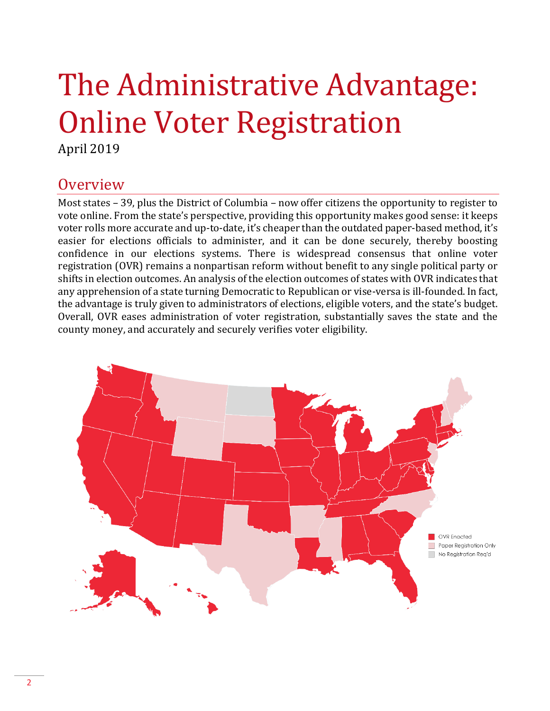# The Administrative Advantage: Online Voter Registration

April 2019

### **Overview**

Most states – 39, plus the District of Columbia – now offer citizens the opportunity to register to vote online. From the state's perspective, providing this opportunity makes good sense: it keeps voter rolls more accurate and up-to-date, it's cheaper than the outdated paper-based method, it's easier for elections officials to administer, and it can be done securely, thereby boosting confidence in our elections systems. There is widespread consensus that online voter registration (OVR) remains a nonpartisan reform without benefit to any single political party or shifts in election outcomes. An analysis of the election outcomes of states with OVR indicates that any apprehension of a state turning Democratic to Republican or vise-versa is ill-founded. In fact, the advantage is truly given to administrators of elections, eligible voters, and the state's budget. Overall, OVR eases administration of voter registration, substantially saves the state and the county money, and accurately and securely verifies voter eligibility.

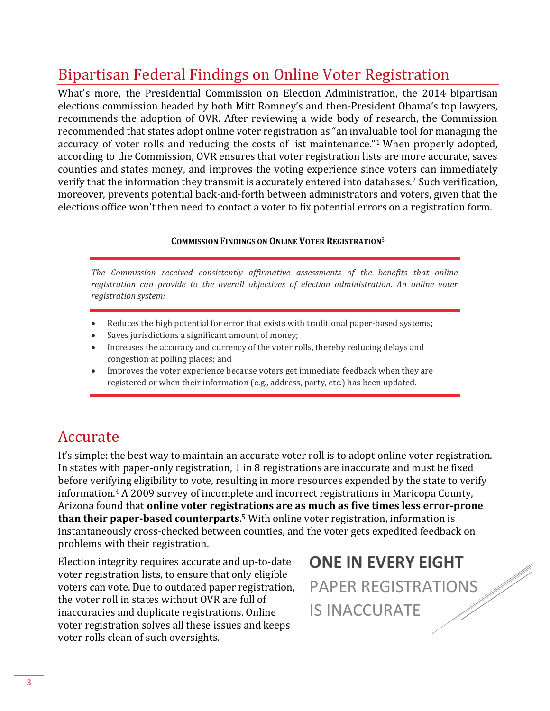## Bipartisan Federal Findings on Online Voter Registration

What's more, the Presidential Commission on Election Administration, the 2014 bipartisan elections commission headed by both Mitt Romney's and then-President Obama's top lawyers, recommends the adoption of OVR. After reviewing a wide body of research, the Commission recommended that states adopt online voter registration as "an invaluable tool for managing the accuracy of voter rolls and reducing the costs of list maintenance."<sup>1</sup> When properly adopted, according to the Commission, OVR ensures that voter registration lists are more accurate, saves counties and states money, and improves the voting experience since voters can immediately verify that the information they transmit is accurately entered into databases.<sup>2</sup> Such verification, moreover, prevents potential back-and-forth between administrators and voters, given that the elections office won't then need to contact a voter to fix potential errors on a registration form.

#### **COMMISSION FINDINGS ON ONLINE VOTER REGISTRATION**<sup>3</sup>

*The Commission received consistently affirmative assessments of the benefits that online registration can provide to the overall objectives of election administration. An online voter registration system:*

- Reduces the high potential for error that exists with traditional paper-based systems;
- Saves jurisdictions a significant amount of money;
- Increases the accuracy and currency of the voter rolls, thereby reducing delays and congestion at polling places; and
- Improves the voter experience because voters get immediate feedback when they are registered or when their information (e.g., address, party, etc.) has been updated.

## Accurate

It's simple: the best way to maintain an accurate voter roll is to adopt online voter registration. In states with paper-only registration, 1 in 8 registrations are inaccurate and must be fixed before verifying eligibility to vote, resulting in more resources expended by the state to verify information.<sup>4</sup> A 2009 survey of incomplete and incorrect registrations in Maricopa County, Arizona found that **online voter registrations are as much as five times less error-prone than their paper-based counterparts**. <sup>5</sup> With online voter registration, information is instantaneously cross-checked between counties, and the voter gets expedited feedback on problems with their registration.

Election integrity requires accurate and up-to-date voter registration lists, to ensure that only eligible voters can vote. Due to outdated paper registration, the voter roll in states without OVR are full of inaccuracies and duplicate registrations. Online voter registration solves all these issues and keeps voter rolls clean of such oversights.

**ONE IN EVERY EIGHT** PAPER REGISTRATIONS IS INACCURATE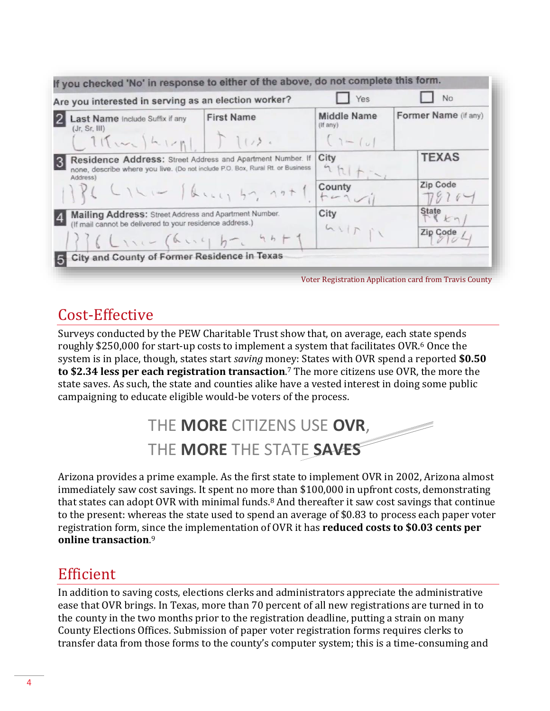| Are you interested in serving as an election worker?                                                                                                     |                   | Yes                                                | No                      |
|----------------------------------------------------------------------------------------------------------------------------------------------------------|-------------------|----------------------------------------------------|-------------------------|
| Last Name Include Suffix if any<br>(Jr, Sr, III)<br>$111$ $k_1$                                                                                          | <b>First Name</b> | <b>Middle Name</b><br>$($ f any $)$<br>$(1 -  u )$ | Former Name (if any)    |
| Residence Address: Street Address and Apartment Number. If<br>none, describe where you live. (Do not include P.O. Box, Rural Rt. or Business<br>Address) |                   | City                                               | <b>TEXAS</b>            |
| $1726$ $C1$ $C1$ $D2$ $D3$ $D4$ $D5$ $D7$ $D7$ $D7$                                                                                                      |                   | County                                             | Zip Code                |
| Mailing Address: Street Address and Apartment Number.<br>(If mail cannot be delivered to your residence address.)<br>$336$ L 1.1 (a  4 ) b . 4 + + 1     |                   | City                                               | <b>State</b><br>$K_{n}$ |
|                                                                                                                                                          |                   | $G \cup F \cap Y$                                  | Zip Code                |
| City and County of Former Residence in Texas                                                                                                             |                   |                                                    |                         |

## Cost-Effective

Surveys conducted by the PEW Charitable Trust show that, on average, each state spends roughly \$250,000 for start-up costs to implement a system that facilitates OVR.<sup>6</sup> Once the system is in place, though, states start *saving* money: States with OVR spend a reported **\$0.50 to \$2.34 less per each registration transaction**. <sup>7</sup> The more citizens use OVR, the more the state saves. As such, the state and counties alike have a vested interest in doing some public campaigning to educate eligible would-be voters of the process.



Arizona provides a prime example. As the first state to implement OVR in 2002, Arizona almost immediately saw cost savings. It spent no more than \$100,000 in upfront costs, demonstrating that states can adopt OVR with minimal funds.<sup>8</sup> And thereafter it saw cost savings that continue to the present: whereas the state used to spend an average of \$0.83 to process each paper voter registration form, since the implementation of OVR it has **reduced costs to \$0.03 cents per online transaction**. 9

## Efficient

In addition to saving costs, elections clerks and administrators appreciate the administrative ease that OVR brings. In Texas, more than 70 percent of all new registrations are turned in to the county in the two months prior to the registration deadline, putting a strain on many County Elections Offices. Submission of paper voter registration forms requires clerks to transfer data from those forms to the county's computer system; this is a time-consuming and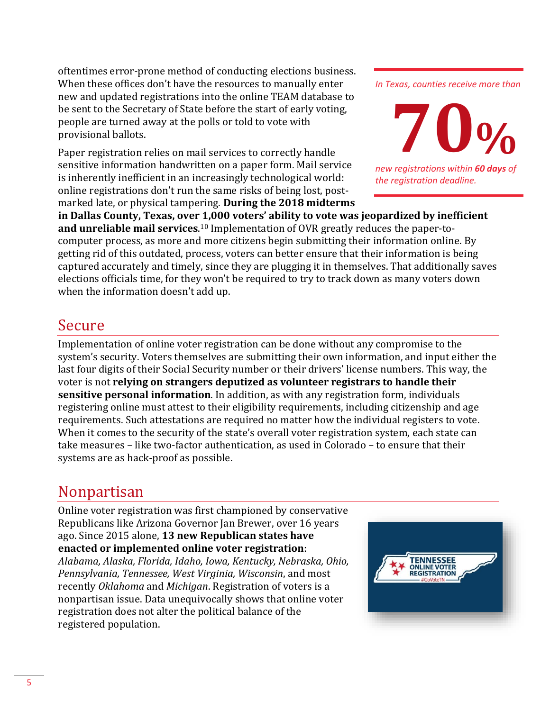oftentimes error-prone method of conducting elections business. When these offices don't have the resources to manually enter new and updated registrations into the online TEAM database to be sent to the Secretary of State before the start of early voting, people are turned away at the polls or told to vote with provisional ballots.

Paper registration relies on mail services to correctly handle sensitive information handwritten on a paper form. Mail service is inherently inefficient in an increasingly technological world: online registrations don't run the same risks of being lost, postmarked late, or physical tampering. **During the 2018 midterms**  *In Texas, counties receive more than* 



*new registrations within 60 days of the registration deadline.* 

**in Dallas County, Texas, over 1,000 voters' ability to vote was jeopardized by inefficient and unreliable mail services**. <sup>10</sup> Implementation of OVR greatly reduces the paper-tocomputer process, as more and more citizens begin submitting their information online. By getting rid of this outdated, process, voters can better ensure that their information is being captured accurately and timely, since they are plugging it in themselves. That additionally saves elections officials time, for they won't be required to try to track down as many voters down when the information doesn't add up.

## Secure

Implementation of online voter registration can be done without any compromise to the system's security. Voters themselves are submitting their own information, and input either the last four digits of their Social Security number or their drivers' license numbers. This way, the voter is not **relying on strangers deputized as volunteer registrars to handle their sensitive personal information**. In addition, as with any registration form, individuals registering online must attest to their eligibility requirements, including citizenship and age requirements. Such attestations are required no matter how the individual registers to vote. When it comes to the security of the state's overall voter registration system, each state can take measures – like two-factor authentication, as used in Colorado – to ensure that their systems are as hack-proof as possible.

## Nonpartisan

Online voter registration was first championed by conservative Republicans like Arizona Governor Jan Brewer, over 16 years ago. Since 2015 alone, **13 new Republican states have enacted or implemented online voter registration**:

*Alabama, Alaska, Florida, Idaho, Iowa, Kentucky, Nebraska, Ohio, Pennsylvania, Tennessee, West Virginia, Wisconsin*, and most recently *Oklahoma* and *Michigan*. Registration of voters is a nonpartisan issue. Data unequivocally shows that online voter registration does not alter the political balance of the registered population.

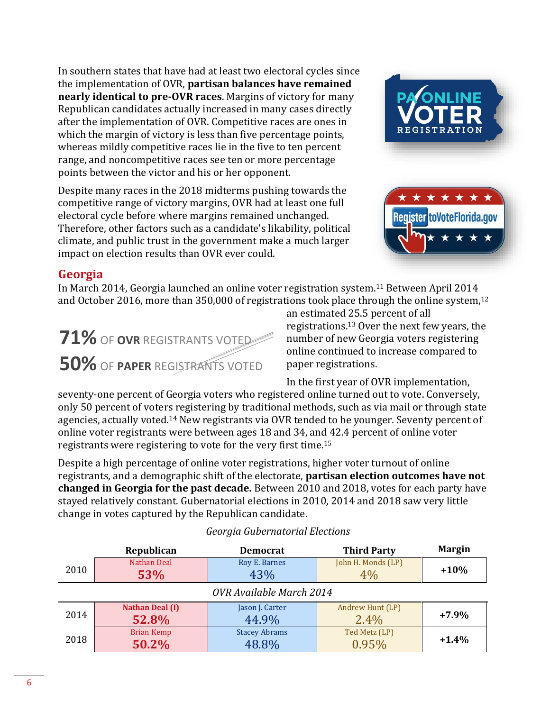In southern states that have had at least two electoral cycles since the implementation of OVR, **partisan balances have remained nearly identical to pre-OVR races**. Margins of victory for many Republican candidates actually increased in many cases directly after the implementation of OVR. Competitive races are ones in which the margin of victory is less than five percentage points, whereas mildly competitive races lie in the five to ten percent range, and noncompetitive races see ten or more percentage points between the victor and his or her opponent.

Despite many races in the 2018 midterms pushing towards the competitive range of victory margins, OVR had at least one full electoral cycle before where margins remained unchanged. Therefore, other factors such as a candidate's likability, political climate, and public trust in the government make a much larger impact on election results than OVR ever could.





#### **Georgia**

In March 2014, Georgia launched an online voter registration system.<sup>11</sup> Between April 2014 and October 2016, more than 350,000 of registrations took place through the online system,  $12$ 

## **71%** OF **OVR** REGISTRANTS VOTED **50%** OF **PAPER** REGISTRANTS VOTED

an estimated 25.5 percent of all registrations.<sup>13</sup> Over the next few years, the number of new Georgia voters registering online continued to increase compared to paper registrations.

In the first year of OVR implementation,

seventy-one percent of Georgia voters who registered online turned out to vote. Conversely, only 50 percent of voters registering by traditional methods, such as via mail or through state agencies, actually voted.<sup>14</sup> New registrants via OVR tended to be younger. Seventy percent of online voter registrants were between ages 18 and 34, and 42.4 percent of online voter registrants were registering to vote for the very first time.<sup>15</sup>

Despite a high percentage of online voter registrations, higher voter turnout of online registrants, and a demographic shift of the electorate, **partisan election outcomes have not changed in Georgia for the past decade.** Between 2010 and 2018, votes for each party have stayed relatively constant. Gubernatorial elections in 2010, 2014 and 2018 saw very little change in votes captured by the Republican candidate.

|                                         | Republican                 | <b>Third Party</b><br><b>Democrat</b> |                          | <b>Margin</b> |
|-----------------------------------------|----------------------------|---------------------------------------|--------------------------|---------------|
| 2010                                    | Nathan Deal<br>53%         | Roy E. Barnes<br>43%                  | John H. Monds (LP)<br>4% | $+10%$        |
| OVR Available March 2014                |                            |                                       |                          |               |
| <b>Nathan Deal (I)</b><br>2014<br>52.8% |                            | Jason J. Carter<br>44.9%              | Andrew Hunt (LP)<br>2.4% | $+7.9%$       |
| 2018                                    | <b>Brian Kemp</b><br>50.2% | <b>Stacey Abrams</b><br>48.8%         | Ted Metz (LP)<br>0.95%   | $+1.4%$       |

#### *Georgia Gubernatorial Elections*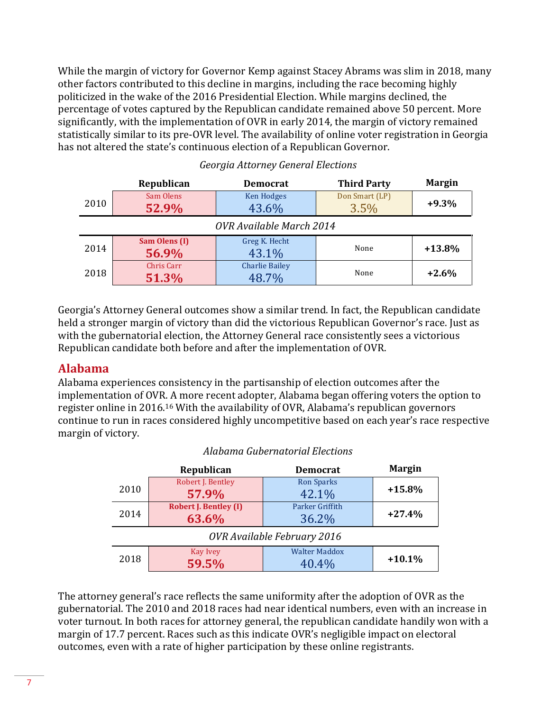While the margin of victory for Governor Kemp against Stacey Abrams was slim in 2018, many other factors contributed to this decline in margins, including the race becoming highly politicized in the wake of the 2016 Presidential Election. While margins declined, the percentage of votes captured by the Republican candidate remained above 50 percent. More significantly, with the implementation of OVR in early 2014, the margin of victory remained statistically similar to its pre-OVR level. The availability of online voter registration in Georgia has not altered the state's continuous election of a Republican Governor.

|                          | Republican                                               | <b>Democrat</b>                | <b>Third Party</b>     | <b>Margin</b> |
|--------------------------|----------------------------------------------------------|--------------------------------|------------------------|---------------|
| 2010                     | Sam Olens<br>52.9%                                       | <b>Ken Hodges</b><br>43.6%     | Don Smart (LP)<br>3.5% | $+9.3%$       |
| OVR Available March 2014 |                                                          |                                |                        |               |
| 2014                     | Sam Olens (I)<br>Greg K. Hecht<br>None<br>56.9%<br>43.1% |                                | $+13.8%$               |               |
| 2018                     | Chris Carr<br>51.3%                                      | <b>Charlie Bailey</b><br>48.7% | None                   | $+2.6%$       |

#### *Georgia Attorney General Elections*

Georgia's Attorney General outcomes show a similar trend. In fact, the Republican candidate held a stronger margin of victory than did the victorious Republican Governor's race. Just as with the gubernatorial election, the Attorney General race consistently sees a victorious Republican candidate both before and after the implementation of OVR.

#### **Alabama**

Alabama experiences consistency in the partisanship of election outcomes after the implementation of OVR. A more recent adopter, Alabama began offering voters the option to register online in 2016.<sup>16</sup> With the availability of OVR, Alabama's republican governors continue to run in races considered highly uncompetitive based on each year's race respective margin of victory.

|                             | Republican                            | <b>Democrat</b>               | <b>Margin</b> |  |
|-----------------------------|---------------------------------------|-------------------------------|---------------|--|
| 2010                        | Robert J. Bentley<br>57.9%            | <b>Ron Sparks</b><br>42.1%    | $+15.8%$      |  |
| 2014                        | <b>Robert J. Bentley (I)</b><br>63.6% | Parker Griffith<br>36.2%      | $+27.4%$      |  |
| OVR Available February 2016 |                                       |                               |               |  |
| 2018                        | Kay Ivey<br>59.5%                     | <b>Walter Maddox</b><br>40.4% | $+10.1%$      |  |

#### *Alabama Gubernatorial Elections*

The attorney general's race reflects the same uniformity after the adoption of OVR as the gubernatorial. The 2010 and 2018 races had near identical numbers, even with an increase in voter turnout. In both races for attorney general, the republican candidate handily won with a margin of 17.7 percent. Races such as this indicate OVR's negligible impact on electoral outcomes, even with a rate of higher participation by these online registrants.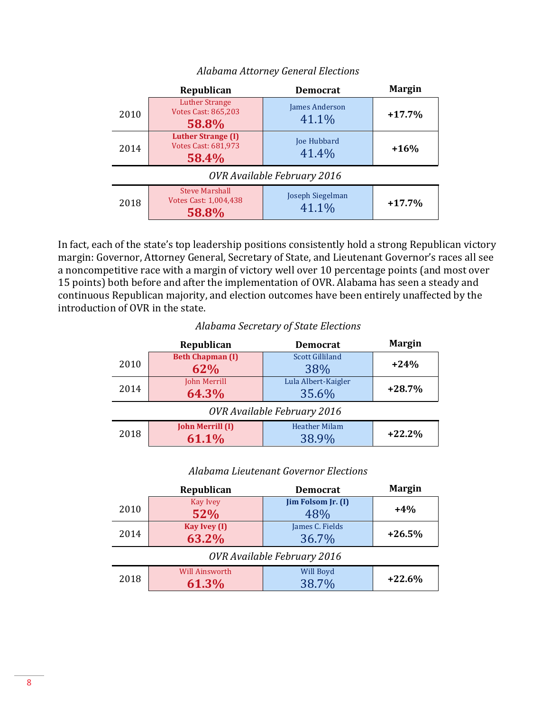|                             | Republican                                                       | <b>Democrat</b>           | <b>Margin</b> |  |
|-----------------------------|------------------------------------------------------------------|---------------------------|---------------|--|
| 2010                        | <b>Luther Strange</b><br><b>Votes Cast: 865,203</b><br>58.8%     | James Anderson<br>41.1%   | $+17.7%$      |  |
| 2014                        | <b>Luther Strange (I)</b><br><b>Votes Cast: 681,973</b><br>58.4% | Joe Hubbard<br>41.4%      | $+16%$        |  |
| OVR Available February 2016 |                                                                  |                           |               |  |
| 2018                        | <b>Steve Marshall</b><br>Votes Cast: 1,004,438<br>58.8%          | Joseph Siegelman<br>41.1% | $+17.7%$      |  |

#### *Alabama Attorney General Elections*

In fact, each of the state's top leadership positions consistently hold a strong Republican victory margin: Governor, Attorney General, Secretary of State, and Lieutenant Governor's races all see a noncompetitive race with a margin of victory well over 10 percentage points (and most over 15 points) both before and after the implementation of OVR. Alabama has seen a steady and continuous Republican majority, and election outcomes have been entirely unaffected by the introduction of OVR in the state.

#### *Alabama Secretary of State Elections*

|                             | Republican              | <b>Democrat</b>        | <b>Margin</b> |  |
|-----------------------------|-------------------------|------------------------|---------------|--|
|                             | <b>Beth Chapman (I)</b> | <b>Scott Gilliland</b> |               |  |
| 2010                        | 62%                     | 38%                    | $+24%$        |  |
|                             | John Merrill            | Lula Albert-Kaigler    |               |  |
| 2014                        | 64.3%                   | 35.6%                  | $+28.7%$      |  |
| OVR Available February 2016 |                         |                        |               |  |
|                             | <b>John Merrill (I)</b> | <b>Heather Milam</b>   |               |  |
| 2018                        | 61.1%                   | 38.9%                  | $+22.2%$      |  |

#### *Alabama Lieutenant Governor Elections*

|                             | Republican                     | <b>Democrat</b>           | <b>Margin</b> |  |
|-----------------------------|--------------------------------|---------------------------|---------------|--|
| 2010                        | <b>Kay Ivey</b><br>52%         | Jim Folsom Jr. (I)<br>48% | $+4%$         |  |
| 2014                        | <b>Kay Ivey (I)</b><br>63.2%   | James C. Fields<br>36.7%  |               |  |
| OVR Available February 2016 |                                |                           |               |  |
| 2018                        | <b>Will Ainsworth</b><br>61.3% | Will Boyd<br>38.7%        | $+22.6%$      |  |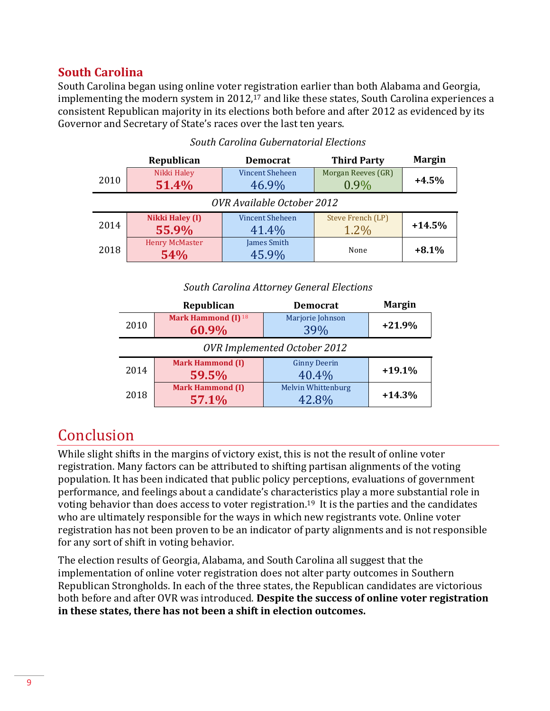#### **South Carolina**

South Carolina began using online voter registration earlier than both Alabama and Georgia, implementing the modern system in 2012,<sup>17</sup> and like these states, South Carolina experiences a consistent Republican majority in its elections both before and after 2012 as evidenced by its Governor and Secretary of State's races over the last ten years.

|                              | Republican                   | <b>Democrat</b>                                                 | <b>Third Party</b>            | <b>Margin</b> |
|------------------------------|------------------------------|-----------------------------------------------------------------|-------------------------------|---------------|
| Nikki Haley<br>2010<br>51.4% |                              | <b>Vincent Sheheen</b><br>46.9%                                 | Morgan Reeves (GR)<br>$0.9\%$ | $+4.5%$       |
| OVR Available October 2012   |                              |                                                                 |                               |               |
| 2014                         | Nikki Haley (I)<br>55.9%     | Steve French (LP)<br><b>Vincent Sheheen</b><br>$1.2\%$<br>41.4% |                               | $+14.5%$      |
| 2018                         | <b>Henry McMaster</b><br>54% | James Smith<br>45.9%                                            | None                          | $+8.1%$       |

#### *South Carolina Gubernatorial Elections*

#### *South Carolina Attorney General Elections*

|                                     | Republican                              | <b>Democrat</b>              | <b>Margin</b> |  |
|-------------------------------------|-----------------------------------------|------------------------------|---------------|--|
| 2010                                | Mark Hammond (I) <sup>18</sup><br>60.9% | Marjorie Johnson<br>39%      | $+21.9%$      |  |
| <b>OVR Implemented October 2012</b> |                                         |                              |               |  |
| 2014                                | <b>Mark Hammond (I)</b><br>59.5%        | <b>Ginny Deerin</b><br>40.4% | $+19.1%$      |  |
| 2018                                | <b>Mark Hammond (I)</b><br>57.1%        | Melvin Whittenburg<br>42.8%  | $+14.3%$      |  |

## Conclusion

While slight shifts in the margins of victory exist, this is not the result of online voter registration. Many factors can be attributed to shifting partisan alignments of the voting population. It has been indicated that public policy perceptions, evaluations of government performance, and feelings about a candidate's characteristics play a more substantial role in voting behavior than does access to voter registration.<sup>19</sup> It is the parties and the candidates who are ultimately responsible for the ways in which new registrants vote. Online voter registration has not been proven to be an indicator of party alignments and is not responsible for any sort of shift in voting behavior.

The election results of Georgia, Alabama, and South Carolina all suggest that the implementation of online voter registration does not alter party outcomes in Southern Republican Strongholds. In each of the three states, the Republican candidates are victorious both before and after OVR was introduced. **Despite the success of online voter registration in these states, there has not been a shift in election outcomes.**